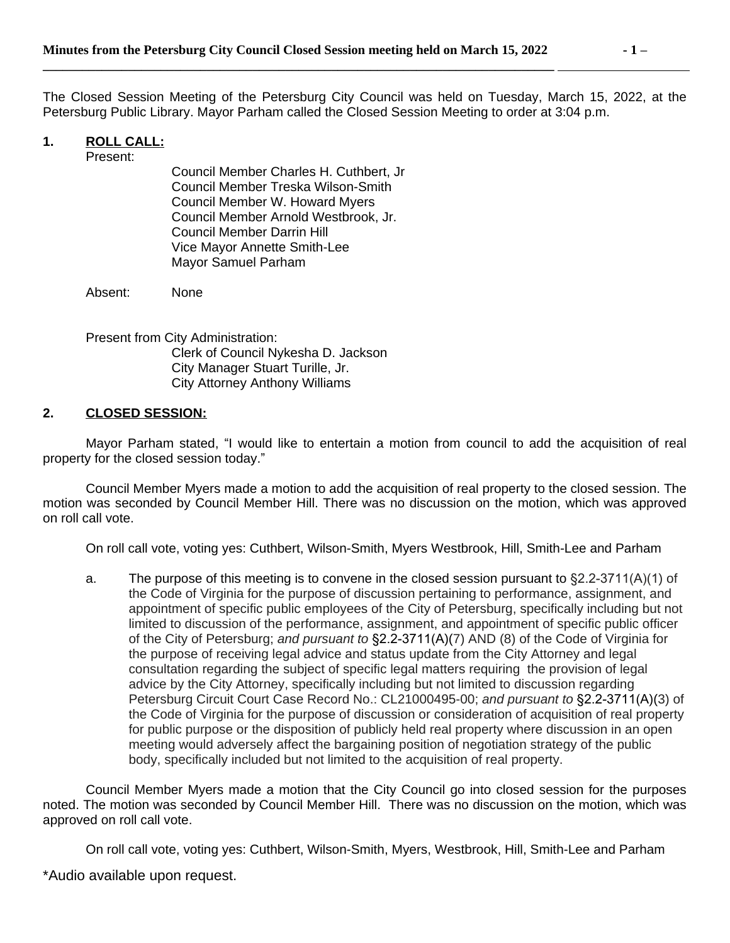**\_\_\_\_\_\_\_\_\_\_\_\_\_\_\_\_\_\_\_\_\_\_\_\_\_\_\_\_\_\_\_\_\_\_\_\_\_\_\_\_\_\_\_\_\_\_\_\_\_\_\_\_\_\_\_\_\_\_\_\_\_\_\_\_\_\_\_\_\_\_\_\_\_\_\_\_\_\_** 

The Closed Session Meeting of the Petersburg City Council was held on Tuesday, March 15, 2022, at the Petersburg Public Library. Mayor Parham called the Closed Session Meeting to order at 3:04 p.m.

# **1. ROLL CALL:**

Present:

Council Member Charles H. Cuthbert, Jr Council Member Treska Wilson-Smith Council Member W. Howard Myers Council Member Arnold Westbrook, Jr. Council Member Darrin Hill Vice Mayor Annette Smith-Lee Mayor Samuel Parham

Absent: None

Present from City Administration: Clerk of Council Nykesha D. Jackson City Manager Stuart Turille, Jr. City Attorney Anthony Williams

#### **2. CLOSED SESSION:**

Mayor Parham stated, "I would like to entertain a motion from council to add the acquisition of real property for the closed session today."

Council Member Myers made a motion to add the acquisition of real property to the closed session. The motion was seconded by Council Member Hill. There was no discussion on the motion, which was approved on roll call vote.

On roll call vote, voting yes: Cuthbert, Wilson-Smith, Myers Westbrook, Hill, Smith-Lee and Parham

a. The purpose of this meeting is to convene in the closed session pursuant to  $\S 2.2-3711(A)(1)$  of the Code of Virginia for the purpose of discussion pertaining to performance, assignment, and appointment of specific public employees of the City of Petersburg, specifically including but not limited to discussion of the performance, assignment, and appointment of specific public officer of the City of Petersburg; *and pursuant to* §2.2-3711(A)(7) AND (8) of the Code of Virginia for the purpose of receiving legal advice and status update from the City Attorney and legal consultation regarding the subject of specific legal matters requiring the provision of legal advice by the City Attorney, specifically including but not limited to discussion regarding Petersburg Circuit Court Case Record No.: CL21000495-00; *and pursuant to* §2.2-3711(A)(3) of the Code of Virginia for the purpose of discussion or consideration of acquisition of real property for public purpose or the disposition of publicly held real property where discussion in an open meeting would adversely affect the bargaining position of negotiation strategy of the public body, specifically included but not limited to the acquisition of real property.

Council Member Myers made a motion that the City Council go into closed session for the purposes noted. The motion was seconded by Council Member Hill. There was no discussion on the motion, which was approved on roll call vote.

On roll call vote, voting yes: Cuthbert, Wilson-Smith, Myers, Westbrook, Hill, Smith-Lee and Parham

\*Audio available upon request.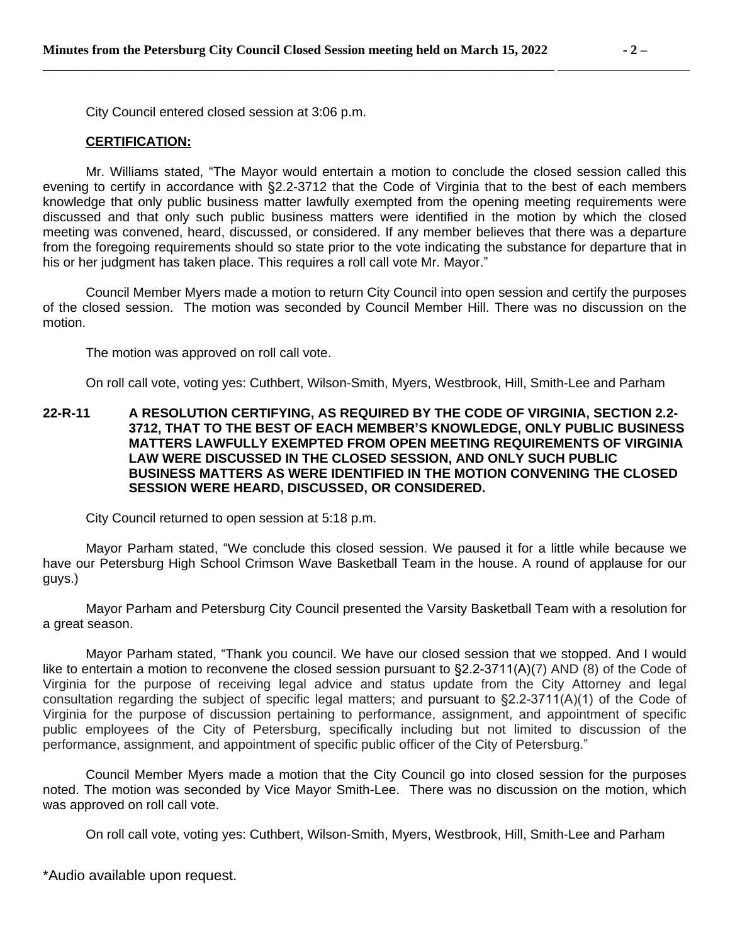City Council entered closed session at 3:06 p.m.

#### **CERTIFICATION:**

Mr. Williams stated, "The Mayor would entertain a motion to conclude the closed session called this evening to certify in accordance with §2.2-3712 that the Code of Virginia that to the best of each members knowledge that only public business matter lawfully exempted from the opening meeting requirements were discussed and that only such public business matters were identified in the motion by which the closed meeting was convened, heard, discussed, or considered. If any member believes that there was a departure from the foregoing requirements should so state prior to the vote indicating the substance for departure that in his or her judgment has taken place. This requires a roll call vote Mr. Mayor."

Council Member Myers made a motion to return City Council into open session and certify the purposes of the closed session. The motion was seconded by Council Member Hill. There was no discussion on the motion.

The motion was approved on roll call vote.

On roll call vote, voting yes: Cuthbert, Wilson-Smith, Myers, Westbrook, Hill, Smith-Lee and Parham

# **22-R-11 A RESOLUTION CERTIFYING, AS REQUIRED BY THE CODE OF VIRGINIA, SECTION 2.2- 3712, THAT TO THE BEST OF EACH MEMBER'S KNOWLEDGE, ONLY PUBLIC BUSINESS MATTERS LAWFULLY EXEMPTED FROM OPEN MEETING REQUIREMENTS OF VIRGINIA LAW WERE DISCUSSED IN THE CLOSED SESSION, AND ONLY SUCH PUBLIC BUSINESS MATTERS AS WERE IDENTIFIED IN THE MOTION CONVENING THE CLOSED SESSION WERE HEARD, DISCUSSED, OR CONSIDERED.**

City Council returned to open session at 5:18 p.m.

Mayor Parham stated, "We conclude this closed session. We paused it for a little while because we have our Petersburg High School Crimson Wave Basketball Team in the house. A round of applause for our guys.)

Mayor Parham and Petersburg City Council presented the Varsity Basketball Team with a resolution for a great season.

Mayor Parham stated, "Thank you council. We have our closed session that we stopped. And I would like to entertain a motion to reconvene the closed session pursuant to §2.2-3711(A)(7) AND (8) of the Code of Virginia for the purpose of receiving legal advice and status update from the City Attorney and legal consultation regarding the subject of specific legal matters; and pursuant to §2.2-3711(A)(1) of the Code of Virginia for the purpose of discussion pertaining to performance, assignment, and appointment of specific public employees of the City of Petersburg, specifically including but not limited to discussion of the performance, assignment, and appointment of specific public officer of the City of Petersburg."

Council Member Myers made a motion that the City Council go into closed session for the purposes noted. The motion was seconded by Vice Mayor Smith-Lee. There was no discussion on the motion, which was approved on roll call vote.

On roll call vote, voting yes: Cuthbert, Wilson-Smith, Myers, Westbrook, Hill, Smith-Lee and Parham

\*Audio available upon request.